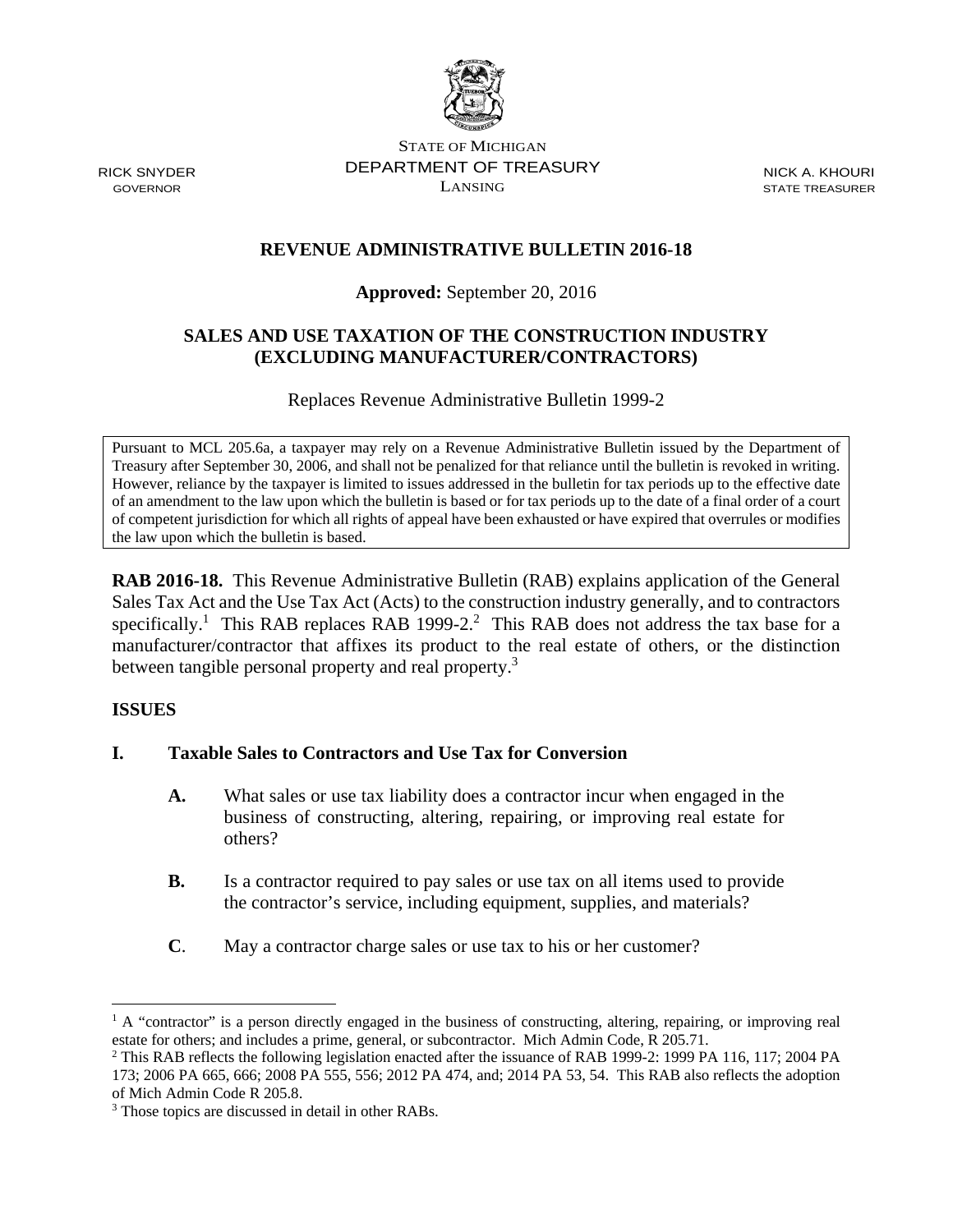

STATE OF MICHIGAN RICK SNYDER DEPARTMENT OF TREASURY NICK A. KHOURI GOVERNOR LANSING STATE TREASURER

## **REVENUE ADMINISTRATIVE BULLETIN 2016-18**

**Approved:** September 20, 2016

## **SALES AND USE TAXATION OF THE CONSTRUCTION INDUSTRY (EXCLUDING MANUFACTURER/CONTRACTORS)**

Replaces Revenue Administrative Bulletin 1999-2

 Treasury after September 30, 2006, and shall not be penalized for that reliance until the bulletin is revoked in writing. the law upon which the bulletin is based. Pursuant to MCL 205.6a, a taxpayer may rely on a Revenue Administrative Bulletin issued by the Department of However, reliance by the taxpayer is limited to issues addressed in the bulletin for tax periods up to the effective date of an amendment to the law upon which the bulletin is based or for tax periods up to the date of a final order of a court of competent jurisdiction for which all rights of appeal have been exhausted or have expired that overrules or modifies

**RAB 2016-18.** This Revenue Administrative Bulletin (RAB) explains application of the General Sales Tax Act and the Use Tax Act (Acts) to the construction industry generally, and to contractors specifically.<sup>1</sup> This RAB replaces RAB 1999-2.<sup>2</sup> This RAB does not address the tax base for a manufacturer/contractor that affixes its product to the real estate of others, or the distinction between tangible personal property and real property.<sup>3</sup>

#### **ISSUES**

 $\overline{a}$ 

#### **I. Taxable Sales to Contractors and Use Tax for Conversion**

- **A.** What sales or use tax liability does a contractor incur when engaged in the business of constructing, altering, repairing, or improving real estate for others?
- **B.** Is a contractor required to pay sales or use tax on all items used to provide the contractor's service, including equipment, supplies, and materials?
- **C**. May a contractor charge sales or use tax to his or her customer?

 estate for others; and includes a prime, general, or subcontractor. Mich Admin Code, R 205.71. <sup>1</sup> A "contractor" is a person directly engaged in the business of constructing, altering, repairing, or improving real

 173; 2006 PA 665, 666; 2008 PA 555, 556; 2012 PA 474, and; 2014 PA 53, 54. This RAB also reflects the adoption <sup>2</sup> This RAB reflects the following legislation enacted after the issuance of RAB 1999-2: 1999 PA 116, 117; 2004 PA of Mich Admin Code R 205.8.

<sup>&</sup>lt;sup>3</sup> Those topics are discussed in detail in other RABs.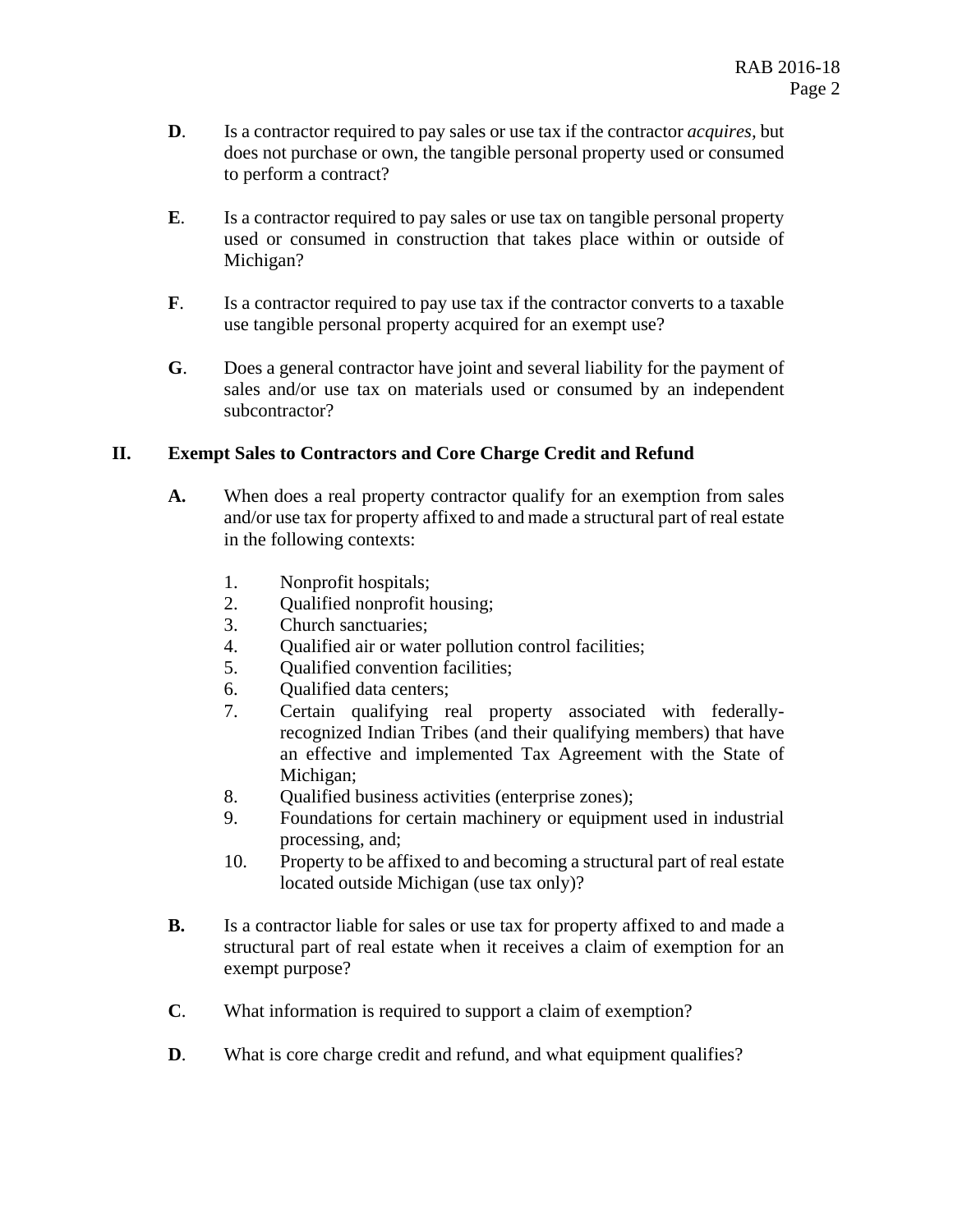- **D**. Is a contractor required to pay sales or use tax if the contractor *acquires,* but does not purchase or own, the tangible personal property used or consumed to perform a contract?
- **E**. Is a contractor required to pay sales or use tax on tangible personal property used or consumed in construction that takes place within or outside of Michigan?
- **F**. Is a contractor required to pay use tax if the contractor converts to a taxable use tangible personal property acquired for an exempt use?
- **G**. Does a general contractor have joint and several liability for the payment of sales and/or use tax on materials used or consumed by an independent subcontractor?

## **II. Exempt Sales to Contractors and Core Charge Credit and Refund**

- **A.** When does a real property contractor qualify for an exemption from sales and/or use tax for property affixed to and made a structural part of real estate in the following contexts:
	- 1. Nonprofit hospitals;
	- 2. Qualified nonprofit housing;
	- 3. Church sanctuaries;
	- 4. Qualified air or water pollution control facilities;
	- 5. Qualified convention facilities;
	- 6. Qualified data centers;
	- 7. Certain qualifying real property associated with federallyrecognized Indian Tribes (and their qualifying members) that have an effective and implemented Tax Agreement with the State of Michigan;
	- 8. Qualified business activities (enterprise zones);
	- 9. Foundations for certain machinery or equipment used in industrial processing, and;
	- 10. Property to be affixed to and becoming a structural part of real estate located outside Michigan (use tax only)?
- **B.** Is a contractor liable for sales or use tax for property affixed to and made a structural part of real estate when it receives a claim of exemption for an exempt purpose?
- **C**. What information is required to support a claim of exemption?
- **D.** What is core charge credit and refund, and what equipment qualifies?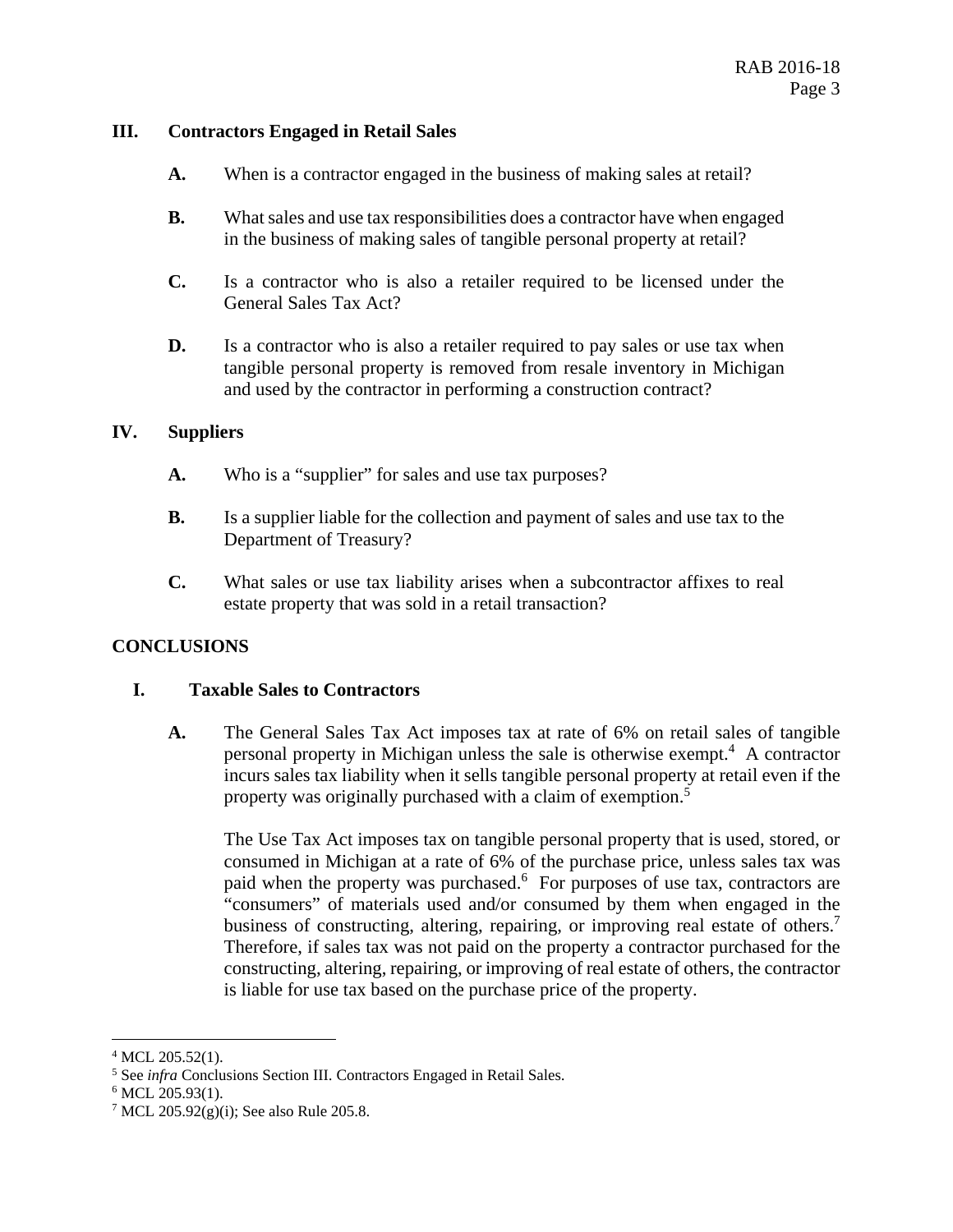## **III. Contractors Engaged in Retail Sales**

- **A.** When is a contractor engaged in the business of making sales at retail?
- **B.** What sales and use tax responsibilities does a contractor have when engaged in the business of making sales of tangible personal property at retail?
- **C.** Is a contractor who is also a retailer required to be licensed under the General Sales Tax Act?
- **D.** Is a contractor who is also a retailer required to pay sales or use tax when tangible personal property is removed from resale inventory in Michigan and used by the contractor in performing a construction contract?

# **IV. Suppliers**

- A. Who is a "supplier" for sales and use tax purposes?
- **B.** Is a supplier liable for the collection and payment of sales and use tax to the Department of Treasury?
- **C.** What sales or use tax liability arises when a subcontractor affixes to real estate property that was sold in a retail transaction?

# **CONCLUSIONS**

#### **I. Taxable Sales to Contractors**

**A.** The General Sales Tax Act imposes tax at rate of 6% on retail sales of tangible personal property in Michigan unless the sale is otherwise exempt.4 A contractor incurs sales tax liability when it sells tangible personal property at retail even if the property was originally purchased with a claim of exemption.5

business of constructing, altering, repairing, or improving real estate of others.<sup>7</sup> The Use Tax Act imposes tax on tangible personal property that is used, stored, or consumed in Michigan at a rate of 6% of the purchase price, unless sales tax was paid when the property was purchased.<sup>6</sup> For purposes of use tax, contractors are "consumers" of materials used and/or consumed by them when engaged in the Therefore, if sales tax was not paid on the property a contractor purchased for the constructing, altering, repairing, or improving of real estate of others, the contractor is liable for use tax based on the purchase price of the property.

<u>.</u>

 $4$  MCL 205.52(1).

<sup>&</sup>lt;sup>5</sup> See *infra* Conclusions Section III. Contractors Engaged in Retail Sales.<br><sup>6</sup> MCL 205 93(1)

<sup>&</sup>lt;sup>6</sup> MCL 205.93(1).

<sup>&</sup>lt;sup>7</sup> MCL 205.92(g)(i); See also Rule 205.8.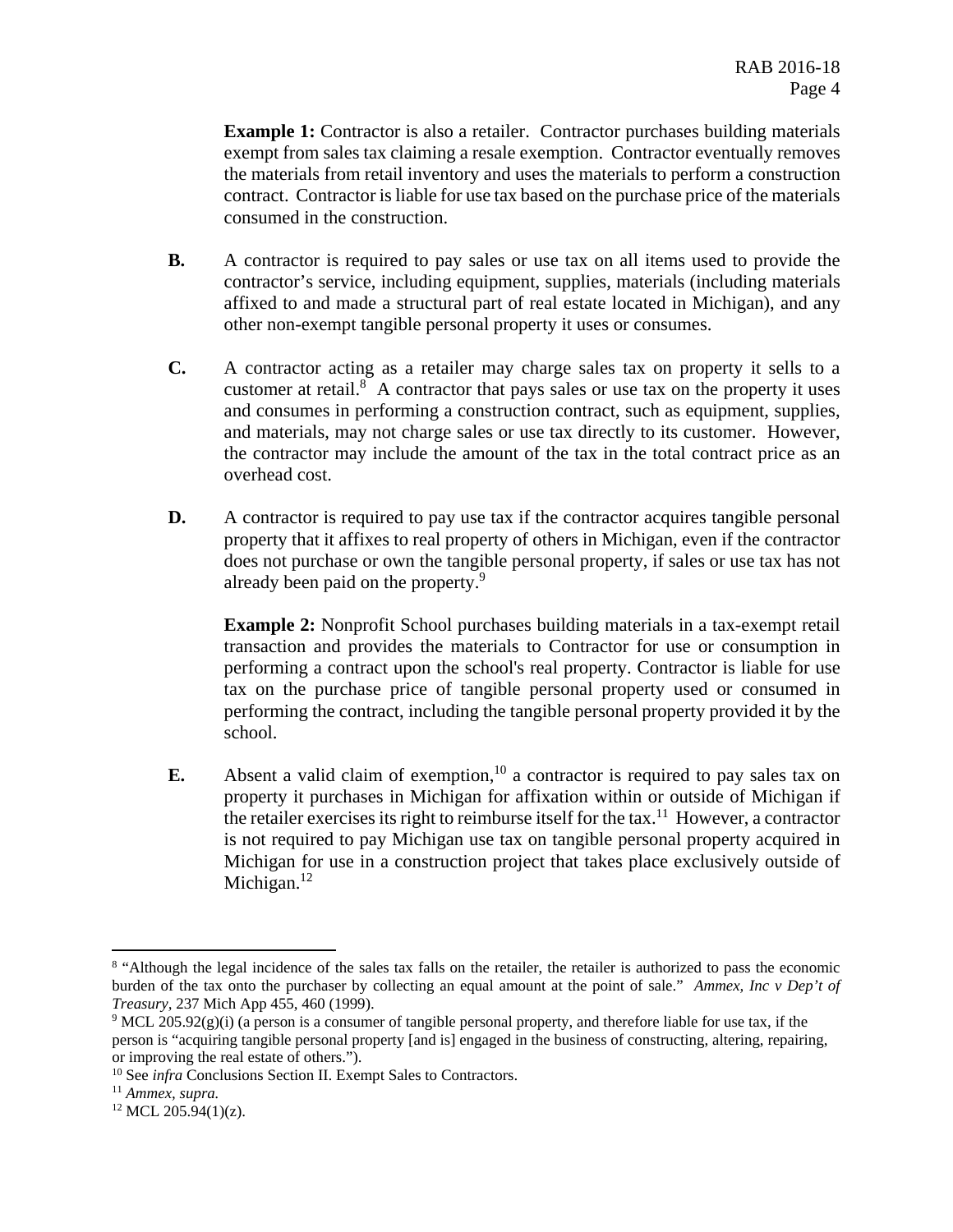**Example 1:** Contractor is also a retailer. Contractor purchases building materials exempt from sales tax claiming a resale exemption. Contractor eventually removes the materials from retail inventory and uses the materials to perform a construction contract. Contractor is liable for use tax based on the purchase price of the materials consumed in the construction.

- **B. B.** A contractor is required to pay sales or use tax on all items used to provide the contractor's service, including equipment, supplies, materials (including materials affixed to and made a structural part of real estate located in Michigan), and any other non-exempt tangible personal property it uses or consumes.
- **C.** A contractor acting as a retailer may charge sales tax on property it sells to a customer at retail. $8$  A contractor that pays sales or use tax on the property it uses and consumes in performing a construction contract, such as equipment, supplies, and materials, may not charge sales or use tax directly to its customer. However, the contractor may include the amount of the tax in the total contract price as an overhead cost.
- **D.** A contractor is required to pay use tax if the contractor acquires tangible personal property that it affixes to real property of others in Michigan, even if the contractor does not purchase or own the tangible personal property, if sales or use tax has not already been paid on the property.9

**Example 2:** Nonprofit School purchases building materials in a tax-exempt retail transaction and provides the materials to Contractor for use or consumption in performing a contract upon the school's real property. Contractor is liable for use tax on the purchase price of tangible personal property used or consumed in performing the contract, including the tangible personal property provided it by the school.

**E.** Absent a valid claim of exemption,<sup>10</sup> a contractor is required to pay sales tax on property it purchases in Michigan for affixation within or outside of Michigan if the retailer exercises its right to reimburse itself for the tax.<sup>11</sup> However, a contractor is not required to pay Michigan use tax on tangible personal property acquired in Michigan for use in a construction project that takes place exclusively outside of Michigan. $12$ 

1

<sup>&</sup>lt;sup>8</sup> "Although the legal incidence of the sales tax falls on the retailer, the retailer is authorized to pass the economic burden of the tax onto the purchaser by collecting an equal amount at the point of sale." *Ammex, Inc v Dep't of Treasury,* 237 Mich App 455, 460 (1999).

 or improving the real estate of others.").  $9$  MCL 205.92(g)(i) (a person is a consumer of tangible personal property, and therefore liable for use tax, if the person is "acquiring tangible personal property [and is] engaged in the business of constructing, altering, repairing,

<sup>10</sup> See *infra* Conclusions Section II. Exempt Sales to Contractors. 11 *Ammex, supra.*

 $12$  MCL 205.94(1)(z).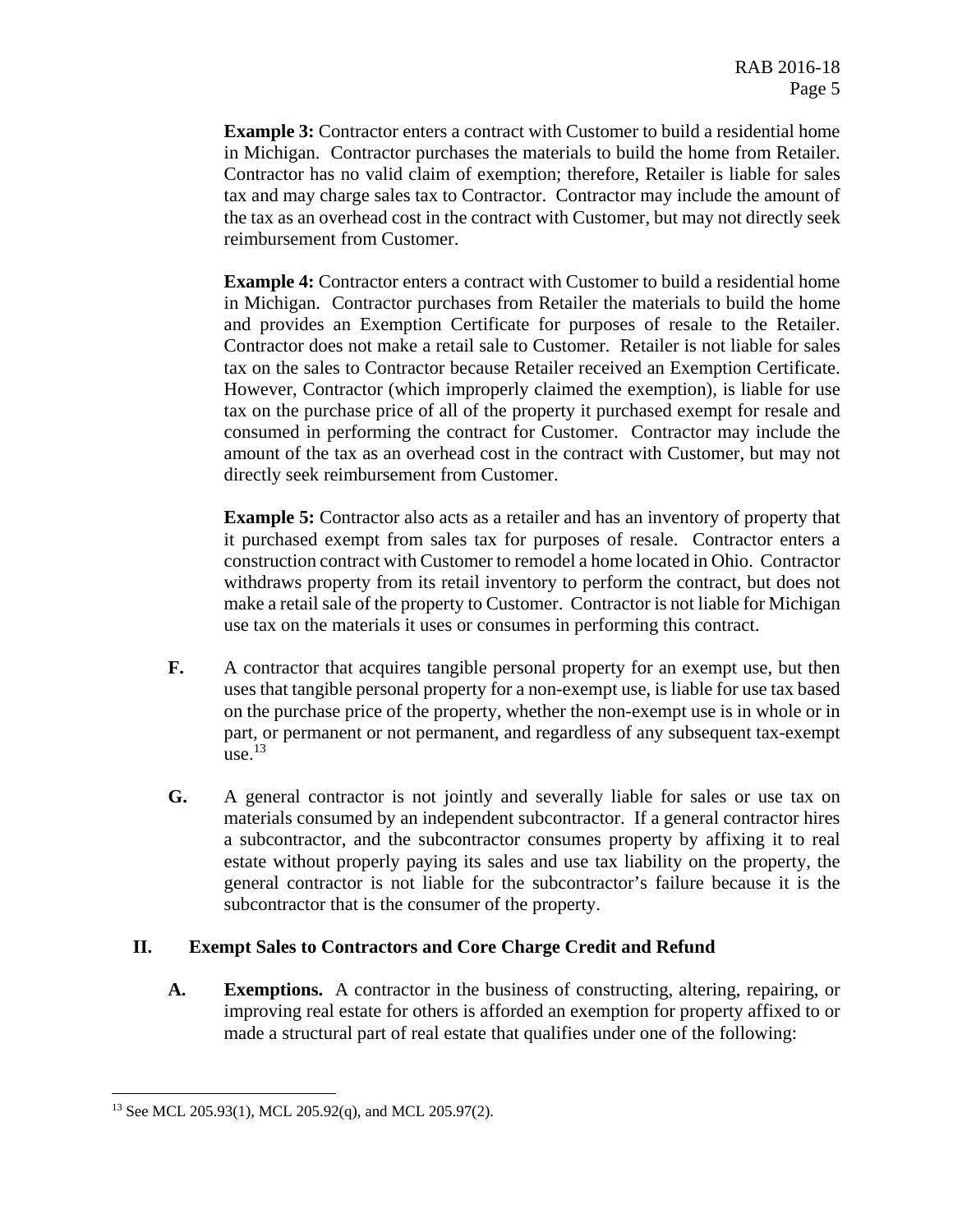**Example 3:** Contractor enters a contract with Customer to build a residential home in Michigan. Contractor purchases the materials to build the home from Retailer. Contractor has no valid claim of exemption; therefore, Retailer is liable for sales tax and may charge sales tax to Contractor. Contractor may include the amount of the tax as an overhead cost in the contract with Customer, but may not directly seek reimbursement from Customer.

**Example 4:** Contractor enters a contract with Customer to build a residential home in Michigan. Contractor purchases from Retailer the materials to build the home and provides an Exemption Certificate for purposes of resale to the Retailer. Contractor does not make a retail sale to Customer. Retailer is not liable for sales tax on the sales to Contractor because Retailer received an Exemption Certificate. However, Contractor (which improperly claimed the exemption), is liable for use tax on the purchase price of all of the property it purchased exempt for resale and consumed in performing the contract for Customer. Contractor may include the amount of the tax as an overhead cost in the contract with Customer, but may not directly seek reimbursement from Customer.

**Example 5:** Contractor also acts as a retailer and has an inventory of property that it purchased exempt from sales tax for purposes of resale. Contractor enters a construction contract with Customer to remodel a home located in Ohio. Contractor withdraws property from its retail inventory to perform the contract, but does not make a retail sale of the property to Customer. Contractor is not liable for Michigan use tax on the materials it uses or consumes in performing this contract.

- **F.** A contractor that acquires tangible personal property for an exempt use, but then uses that tangible personal property for a non-exempt use, is liable for use tax based on the purchase price of the property, whether the non-exempt use is in whole or in part, or permanent or not permanent, and regardless of any subsequent tax-exempt  $\overline{u}$  use.  $13$
- **G.** A general contractor is not jointly and severally liable for sales or use tax on materials consumed by an independent subcontractor. If a general contractor hires a subcontractor, and the subcontractor consumes property by affixing it to real estate without properly paying its sales and use tax liability on the property, the general contractor is not liable for the subcontractor's failure because it is the subcontractor that is the consumer of the property.

# **II. Exempt Sales to Contractors and Core Charge Credit and Refund**

A. Exemptions. A contractor in the business of constructing, altering, repairing, or improving real estate for others is afforded an exemption for property affixed to or made a structural part of real estate that qualifies under one of the following:

<u>.</u>

<sup>13</sup> See MCL 205.93(1), MCL 205.92(q), and MCL 205.97(2).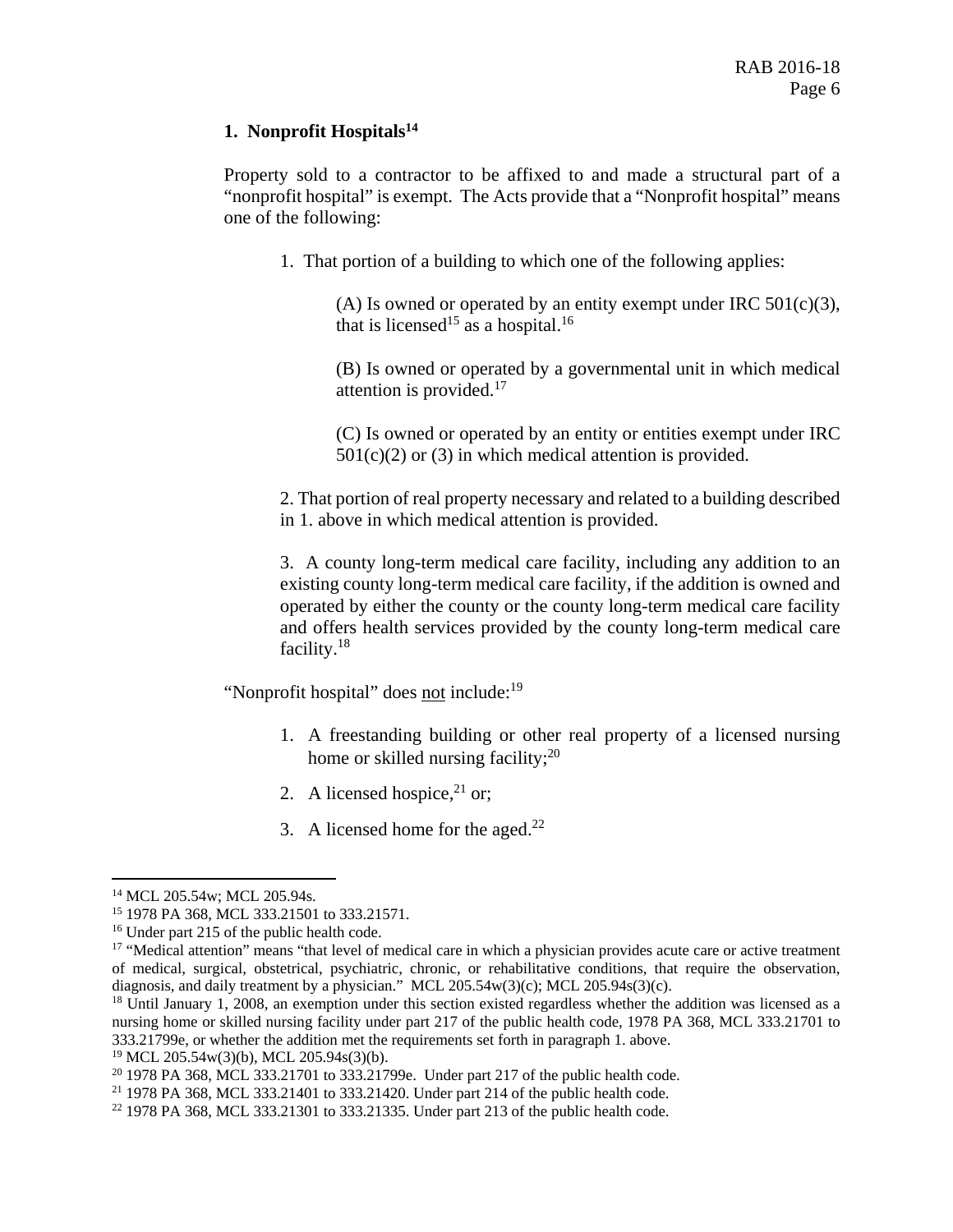## **1. Nonprofit Hospitals14**

Property sold to a contractor to be affixed to and made a structural part of a "nonprofit hospital" is exempt. The Acts provide that a "Nonprofit hospital" means one of the following:

1. That portion of a building to which one of the following applies:

(A) Is owned or operated by an entity exempt under IRC  $501(c)(3)$ , that is licensed<sup>15</sup> as a hospital.<sup>16</sup>

(B) Is owned or operated by a governmental unit in which medical attention is provided. $17$ 

(C) Is owned or operated by an entity or entities exempt under IRC  $501(c)(2)$  or (3) in which medical attention is provided.

2. That portion of real property necessary and related to a building described in 1. above in which medical attention is provided.

3. A county long-term medical care facility, including any addition to an existing county long-term medical care facility, if the addition is owned and operated by either the county or the county long-term medical care facility and offers health services provided by the county long-term medical care facility.18

"Nonprofit hospital" does not include:<sup>19</sup>

- 1. A freestanding building or other real property of a licensed nursing home or skilled nursing facility; $^{20}$
- 2. A licensed hospice, $2^{1}$  or;
- 3. A licensed home for the aged. $^{22}$

 $\overline{a}$ 

19 MCL 205.54w(3)(b), MCL 205.94s(3)(b).

<sup>14</sup> MCL 205.54w; MCL 205.94s.

<sup>15 1978</sup> PA 368, MCL 333.21501 to 333.21571.

<sup>&</sup>lt;sup>16</sup> Under part 215 of the public health code.

<sup>&</sup>lt;sup>17</sup> "Medical attention" means "that level of medical care in which a physician provides acute care or active treatment of medical, surgical, obstetrical, psychiatric, chronic, or rehabilitative conditions, that require the observation, diagnosis, and daily treatment by a physician." MCL 205.54w(3)(c); MCL 205.94s(3)(c).

 nursing home or skilled nursing facility under part 217 of the public health code, 1978 PA 368, MCL 333.21701 to <sup>18</sup> Until January 1, 2008, an exemption under this section existed regardless whether the addition was licensed as a 333.21799e, or whether the addition met the requirements set forth in paragraph 1. above.

<sup>&</sup>lt;sup>20</sup> 1978 PA 368, MCL 333.21701 to 333.21799e. Under part 217 of the public health code.<br><sup>21</sup> 1978 PA 368, MCL 333.21401 to 333.21420. Under part 214 of the public health code.

 $22$  1978 PA 368, MCL 333.21301 to 333.21335. Under part 213 of the public health code.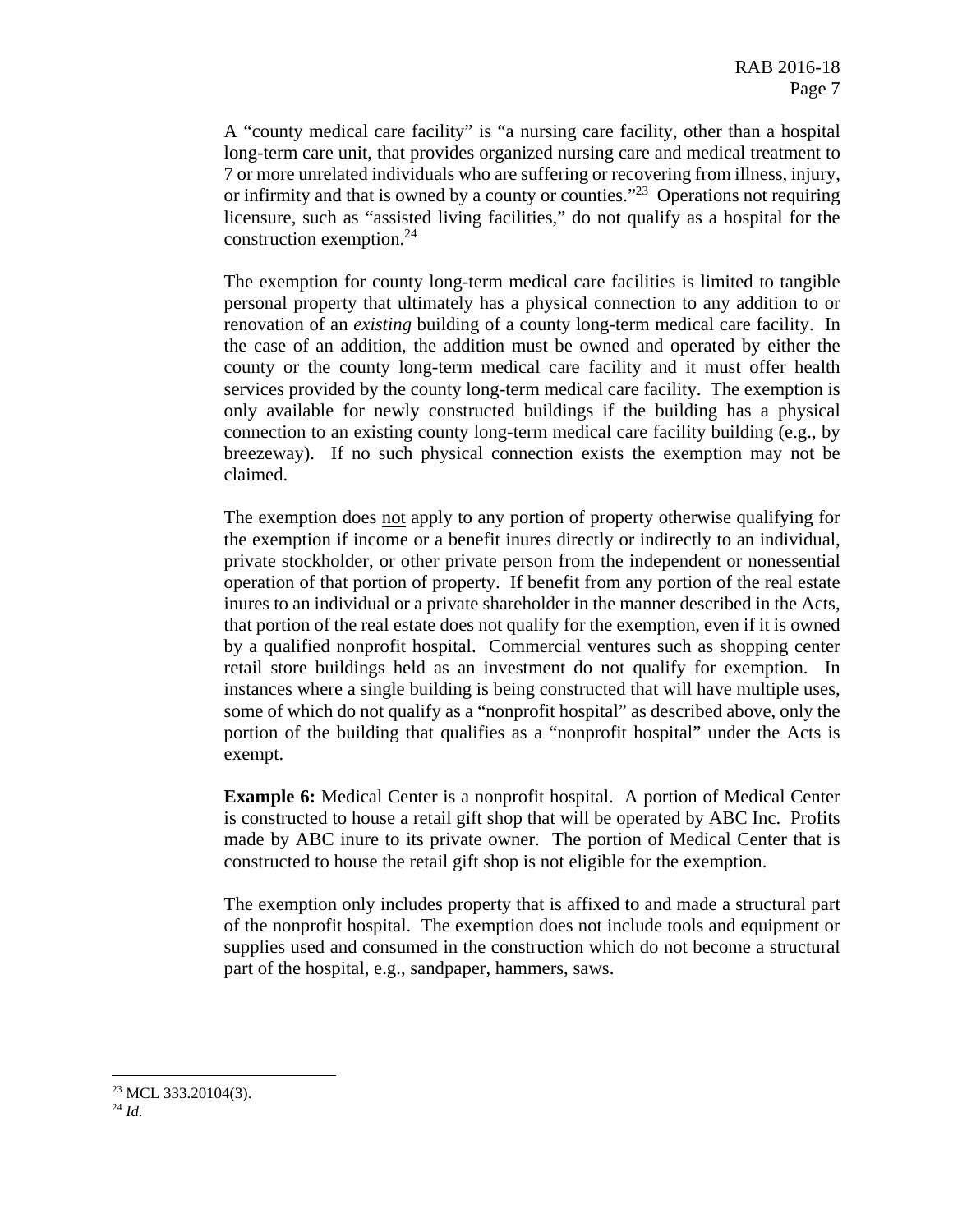A "county medical care facility" is "a nursing care facility, other than a hospital long-term care unit, that provides organized nursing care and medical treatment to 7 or more unrelated individuals who are suffering or recovering from illness, injury, or infirmity and that is owned by a county or counties.<sup>"23</sup> Operations not requiring licensure, such as "assisted living facilities," do not qualify as a hospital for the construction exemption.<sup>24</sup>

The exemption for county long-term medical care facilities is limited to tangible personal property that ultimately has a physical connection to any addition to or renovation of an *existing* building of a county long-term medical care facility. In the case of an addition, the addition must be owned and operated by either the county or the county long-term medical care facility and it must offer health services provided by the county long-term medical care facility. The exemption is only available for newly constructed buildings if the building has a physical connection to an existing county long-term medical care facility building (e.g., by breezeway). If no such physical connection exists the exemption may not be claimed.

The exemption does not apply to any portion of property otherwise qualifying for the exemption if income or a benefit inures directly or indirectly to an individual, private stockholder, or other private person from the independent or nonessential operation of that portion of property. If benefit from any portion of the real estate inures to an individual or a private shareholder in the manner described in the Acts, that portion of the real estate does not qualify for the exemption, even if it is owned by a qualified nonprofit hospital. Commercial ventures such as shopping center retail store buildings held as an investment do not qualify for exemption. In instances where a single building is being constructed that will have multiple uses, some of which do not qualify as a "nonprofit hospital" as described above, only the portion of the building that qualifies as a "nonprofit hospital" under the Acts is exempt.

**Example 6:** Medical Center is a nonprofit hospital. A portion of Medical Center is constructed to house a retail gift shop that will be operated by ABC Inc. Profits made by ABC inure to its private owner. The portion of Medical Center that is constructed to house the retail gift shop is not eligible for the exemption.

The exemption only includes property that is affixed to and made a structural part of the nonprofit hospital. The exemption does not include tools and equipment or supplies used and consumed in the construction which do not become a structural part of the hospital, e.g., sandpaper, hammers, saws.

<sup>23</sup> MCL 333.20104(3).

 24 *Id.*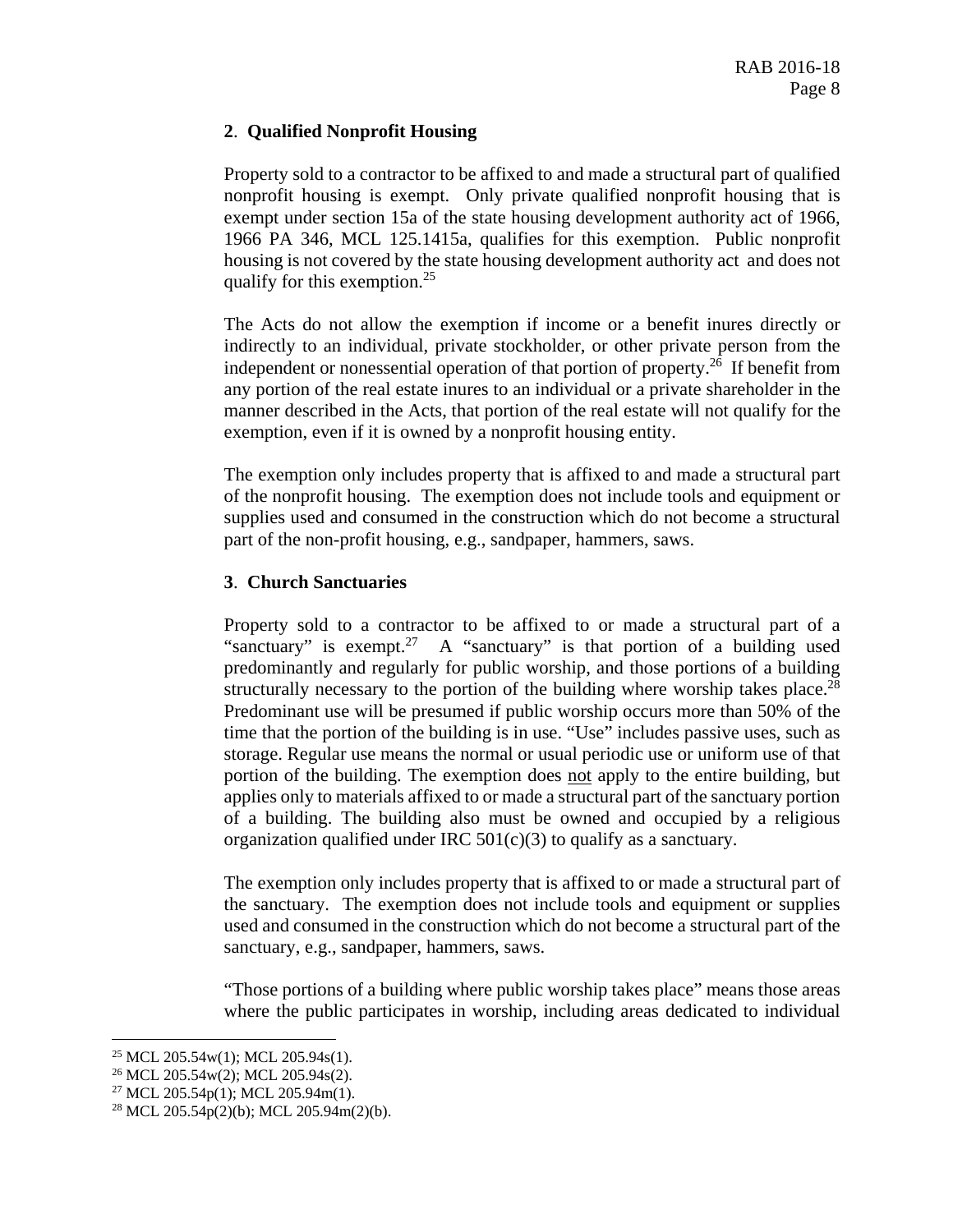# **2**. **Qualified Nonprofit Housing**

Property sold to a contractor to be affixed to and made a structural part of qualified nonprofit housing is exempt. Only private qualified nonprofit housing that is exempt under section 15a of the state housing development authority act of 1966, 1966 PA 346, MCL 125.1415a, qualifies for this exemption. Public nonprofit housing is not covered by the state housing development authority act and does not qualify for this exemption.25

The Acts do not allow the exemption if income or a benefit inures directly or indirectly to an individual, private stockholder, or other private person from the independent or nonessential operation of that portion of property.26 If benefit from any portion of the real estate inures to an individual or a private shareholder in the manner described in the Acts, that portion of the real estate will not qualify for the exemption, even if it is owned by a nonprofit housing entity.

The exemption only includes property that is affixed to and made a structural part of the nonprofit housing. The exemption does not include tools and equipment or supplies used and consumed in the construction which do not become a structural part of the non-profit housing, e.g., sandpaper, hammers, saws.

# **3**. **Church Sanctuaries**

structurally necessary to the portion of the building where worship takes place.<sup>28</sup> Property sold to a contractor to be affixed to or made a structural part of a "sanctuary" is exempt.<sup>27</sup> A "sanctuary" is that portion of a building used predominantly and regularly for public worship, and those portions of a building Predominant use will be presumed if public worship occurs more than 50% of the time that the portion of the building is in use. "Use" includes passive uses, such as storage. Regular use means the normal or usual periodic use or uniform use of that portion of the building. The exemption does not apply to the entire building, but applies only to materials affixed to or made a structural part of the sanctuary portion of a building. The building also must be owned and occupied by a religious organization qualified under IRC  $501(c)(3)$  to qualify as a sanctuary.

The exemption only includes property that is affixed to or made a structural part of the sanctuary. The exemption does not include tools and equipment or supplies used and consumed in the construction which do not become a structural part of the sanctuary, e.g., sandpaper, hammers, saws.

"Those portions of a building where public worship takes place" means those areas where the public participates in worship, including areas dedicated to individual

<sup>25</sup> MCL 205.54w(1); MCL 205.94s(1).

<sup>26</sup> MCL 205.54w(2); MCL 205.94s(2).

<sup>27</sup> MCL 205.54p(1); MCL 205.94m(1).

<sup>&</sup>lt;sup>28</sup> MCL 205.54p(2)(b); MCL 205.94m(2)(b).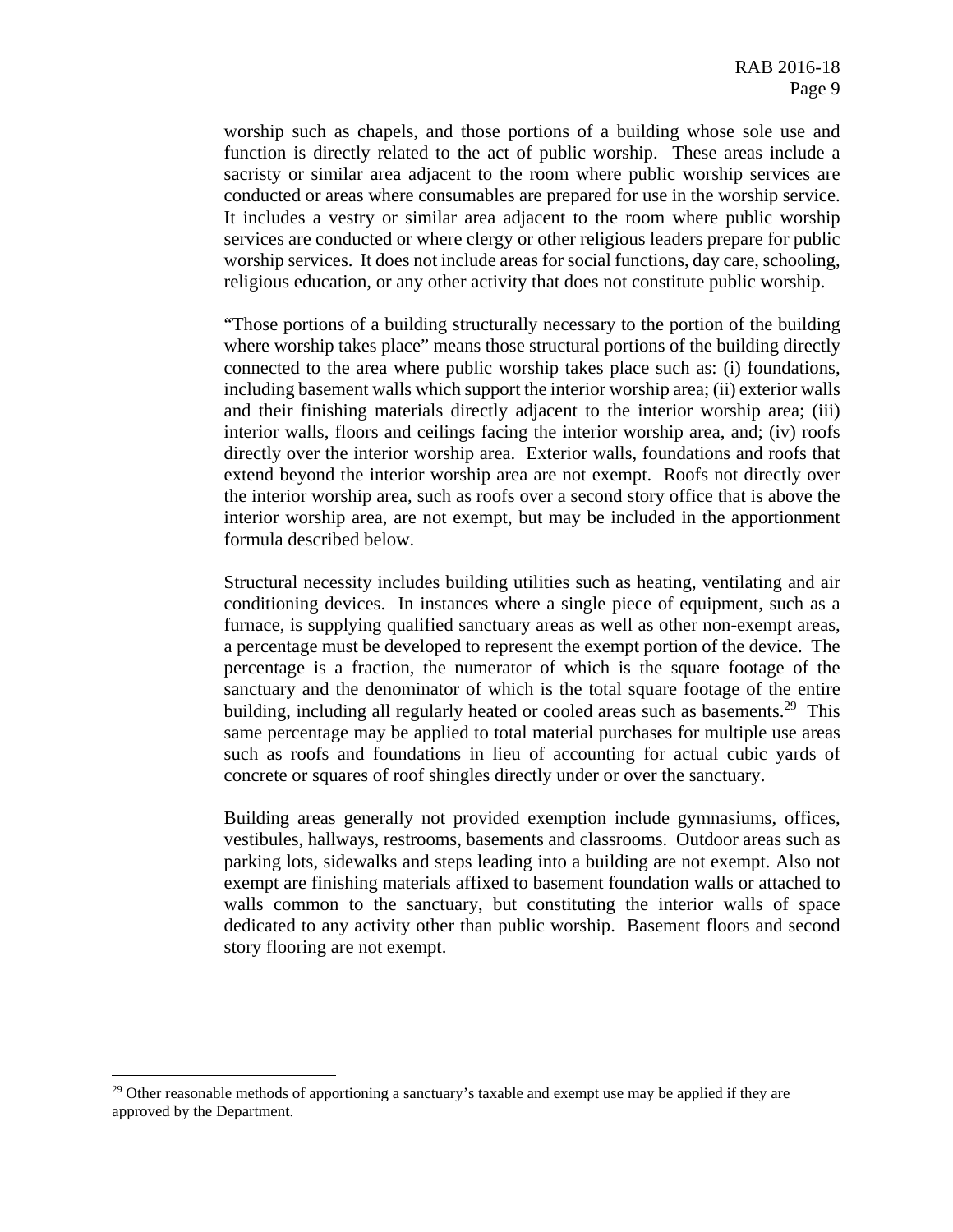worship such as chapels, and those portions of a building whose sole use and function is directly related to the act of public worship. These areas include a sacristy or similar area adjacent to the room where public worship services are conducted or areas where consumables are prepared for use in the worship service. It includes a vestry or similar area adjacent to the room where public worship services are conducted or where clergy or other religious leaders prepare for public worship services. It does not include areas for social functions, day care, schooling, religious education, or any other activity that does not constitute public worship.

"Those portions of a building structurally necessary to the portion of the building where worship takes place" means those structural portions of the building directly connected to the area where public worship takes place such as: (i) foundations, including basement walls which support the interior worship area; (ii) exterior walls and their finishing materials directly adjacent to the interior worship area; (iii) interior walls, floors and ceilings facing the interior worship area, and; (iv) roofs directly over the interior worship area. Exterior walls, foundations and roofs that extend beyond the interior worship area are not exempt. Roofs not directly over the interior worship area, such as roofs over a second story office that is above the interior worship area, are not exempt, but may be included in the apportionment formula described below.

Structural necessity includes building utilities such as heating, ventilating and air conditioning devices. In instances where a single piece of equipment, such as a furnace, is supplying qualified sanctuary areas as well as other non-exempt areas, a percentage must be developed to represent the exempt portion of the device. The percentage is a fraction, the numerator of which is the square footage of the sanctuary and the denominator of which is the total square footage of the entire building, including all regularly heated or cooled areas such as basements.<sup>29</sup> This same percentage may be applied to total material purchases for multiple use areas such as roofs and foundations in lieu of accounting for actual cubic yards of concrete or squares of roof shingles directly under or over the sanctuary.

Building areas generally not provided exemption include gymnasiums, offices, vestibules, hallways, restrooms, basements and classrooms. Outdoor areas such as parking lots, sidewalks and steps leading into a building are not exempt. Also not exempt are finishing materials affixed to basement foundation walls or attached to walls common to the sanctuary, but constituting the interior walls of space dedicated to any activity other than public worship. Basement floors and second story flooring are not exempt.

<sup>&</sup>lt;sup>29</sup> Other reasonable methods of apportioning a sanctuary's taxable and exempt use may be applied if they are approved by the Department.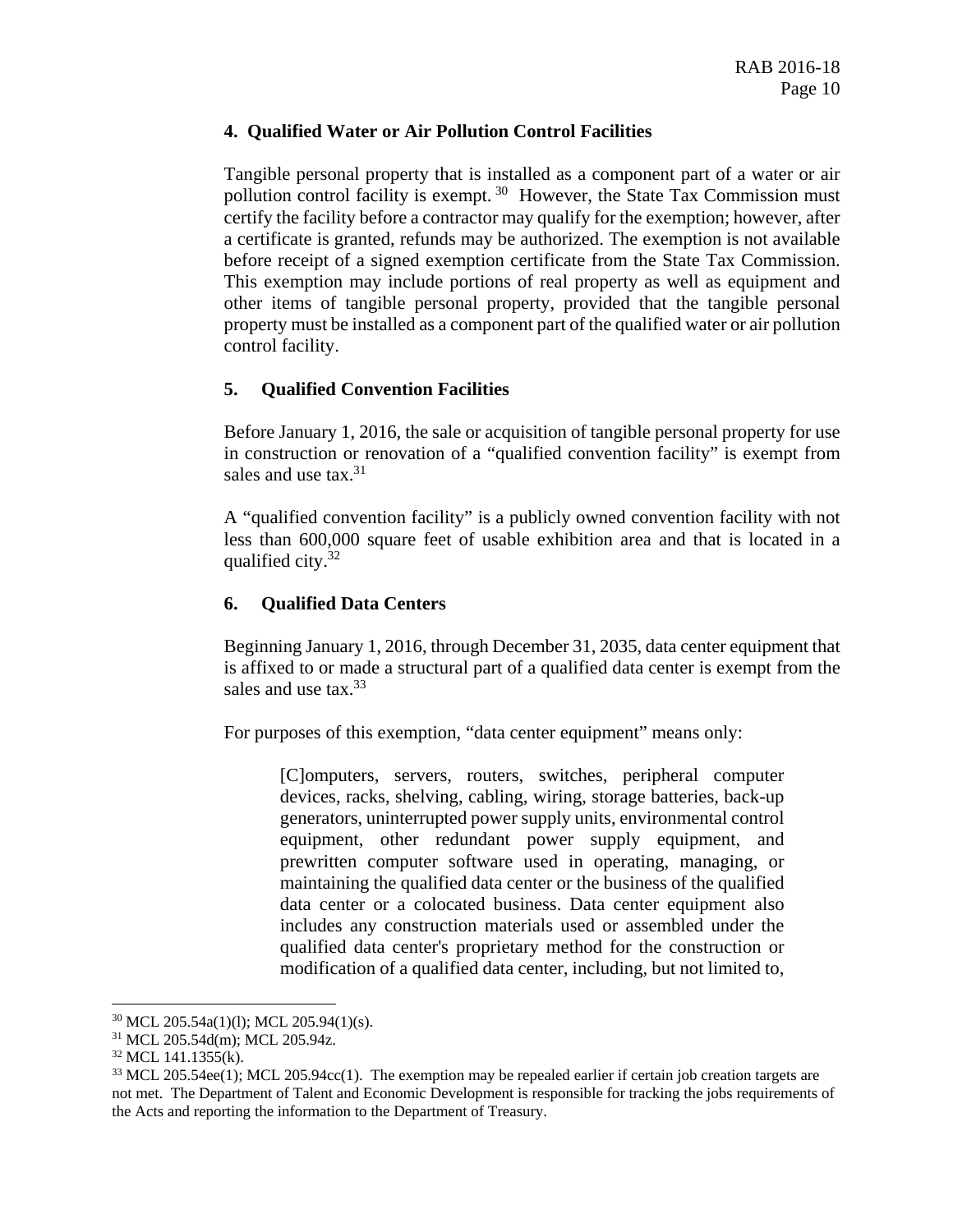## **4. Qualified Water or Air Pollution Control Facilities**

Tangible personal property that is installed as a component part of a water or air pollution control facility is exempt.  $30$  However, the State Tax Commission must certify the facility before a contractor may qualify for the exemption; however, after a certificate is granted, refunds may be authorized. The exemption is not available before receipt of a signed exemption certificate from the State Tax Commission. This exemption may include portions of real property as well as equipment and other items of tangible personal property, provided that the tangible personal property must be installed as a component part of the qualified water or air pollution control facility.

# **5. Qualified Convention Facilities**

Before January 1, 2016, the sale or acquisition of tangible personal property for use in construction or renovation of a "qualified convention facility" is exempt from sales and use  $\text{tax}.^{31}$ 

A "qualified convention facility" is a publicly owned convention facility with not less than 600,000 square feet of usable exhibition area and that is located in a qualified city.32

## **6. Qualified Data Centers**

Beginning January 1, 2016, through December 31, 2035, data center equipment that is affixed to or made a structural part of a qualified data center is exempt from the sales and use tax.<sup>33</sup>

For purposes of this exemption, "data center equipment" means only:

[C]omputers, servers, routers, switches, peripheral computer devices, racks, shelving, cabling, wiring, storage batteries, back-up generators, uninterrupted power supply units, environmental control equipment, other redundant power supply equipment, and prewritten computer software used in operating, managing, or maintaining the qualified data center or the business of the qualified data center or a colocated business. Data center equipment also includes any construction materials used or assembled under the qualified data center's proprietary method for the construction or modification of a qualified data center, including, but not limited to,

1

<sup>30</sup> MCL 205.54a(1)(l); MCL 205.94(1)(s).

<sup>31</sup> MCL 205.54d(m); MCL 205.94z.

 $32$  MCL 141.1355(k).

<sup>&</sup>lt;sup>33</sup> MCL 205.54ee(1); MCL 205.94cc(1). The exemption may be repealed earlier if certain job creation targets are not met. The Department of Talent and Economic Development is responsible for tracking the jobs requirements of the Acts and reporting the information to the Department of Treasury.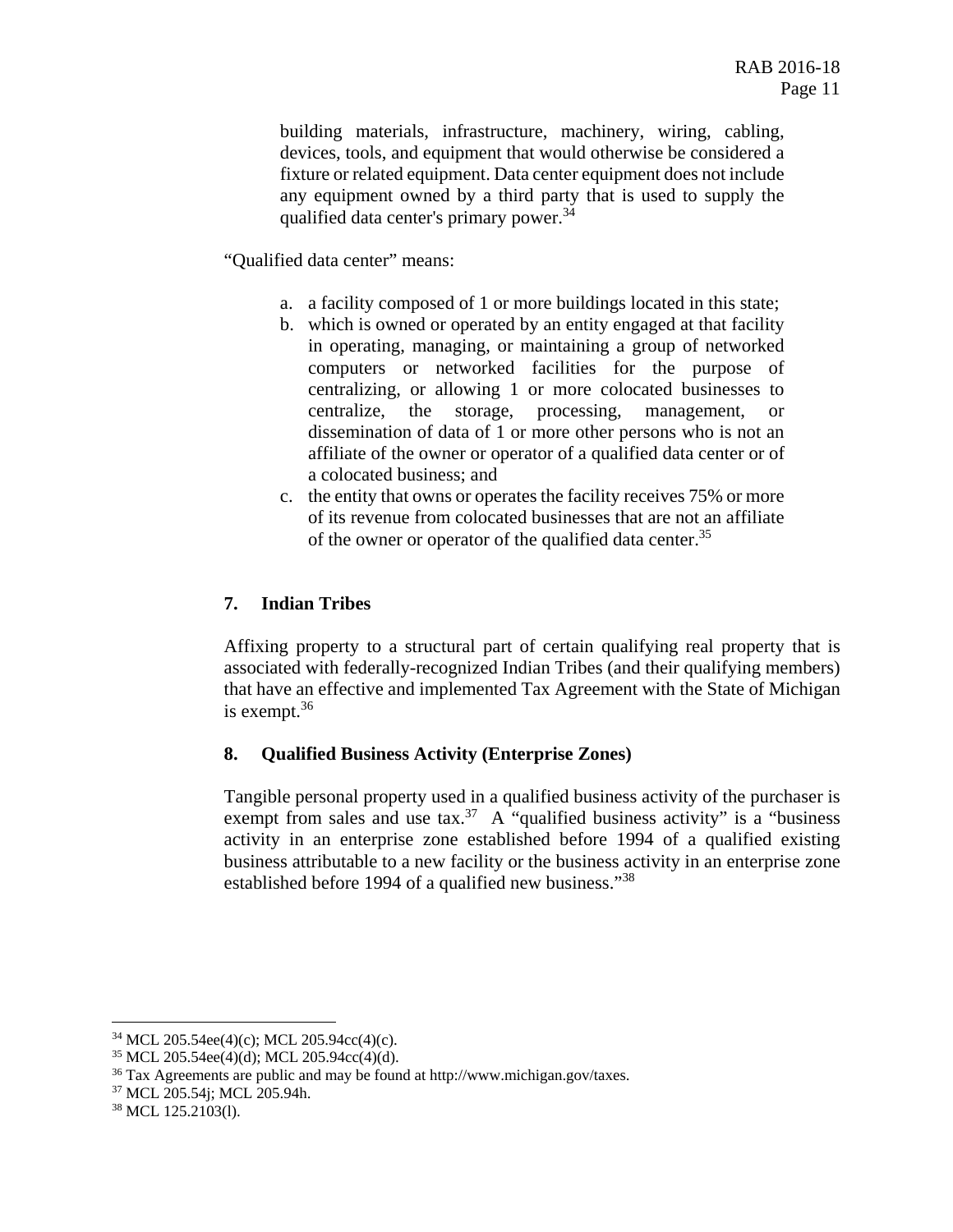building materials, infrastructure, machinery, wiring, cabling, devices, tools, and equipment that would otherwise be considered a fixture or related equipment. Data center equipment does not include any equipment owned by a third party that is used to supply the qualified data center's primary power.<sup>34</sup>

"Qualified data center" means:

- a. a facility composed of 1 or more buildings located in this state;
- b. which is owned or operated by an entity engaged at that facility in operating, managing, or maintaining a group of networked computers or networked facilities for the purpose of centralizing, or allowing 1 or more colocated businesses to centralize, the storage, processing, management, or dissemination of data of 1 or more other persons who is not an affiliate of the owner or operator of a qualified data center or of a colocated business; and
- c. the entity that owns or operates the facility receives 75% or more of its revenue from colocated businesses that are not an affiliate of the owner or operator of the qualified data center.<sup>35</sup>

#### **7. Indian Tribes**

Affixing property to a structural part of certain qualifying real property that is associated with federally-recognized Indian Tribes (and their qualifying members) that have an effective and implemented Tax Agreement with the State of Michigan is exempt.36

#### **8. Qualified Business Activity (Enterprise Zones)**

Tangible personal property used in a qualified business activity of the purchaser is exempt from sales and use  $\text{tax.}^{37}$  A "qualified business activity" is a "business" activity in an enterprise zone established before 1994 of a qualified existing business attributable to a new facility or the business activity in an enterprise zone established before 1994 of a qualified new business."38

 $\overline{a}$ 34 MCL 205.54ee(4)(c); MCL 205.94cc(4)(c).

 $35$  MCL 205.54ee(4)(d); MCL 205.94cc(4)(d).

 $36$  Tax Agreements are public and may be found at http://www.michigan.gov/taxes.

<sup>37</sup> MCL 205.54j; MCL 205.94h.

<sup>38</sup> MCL 125.2103(l).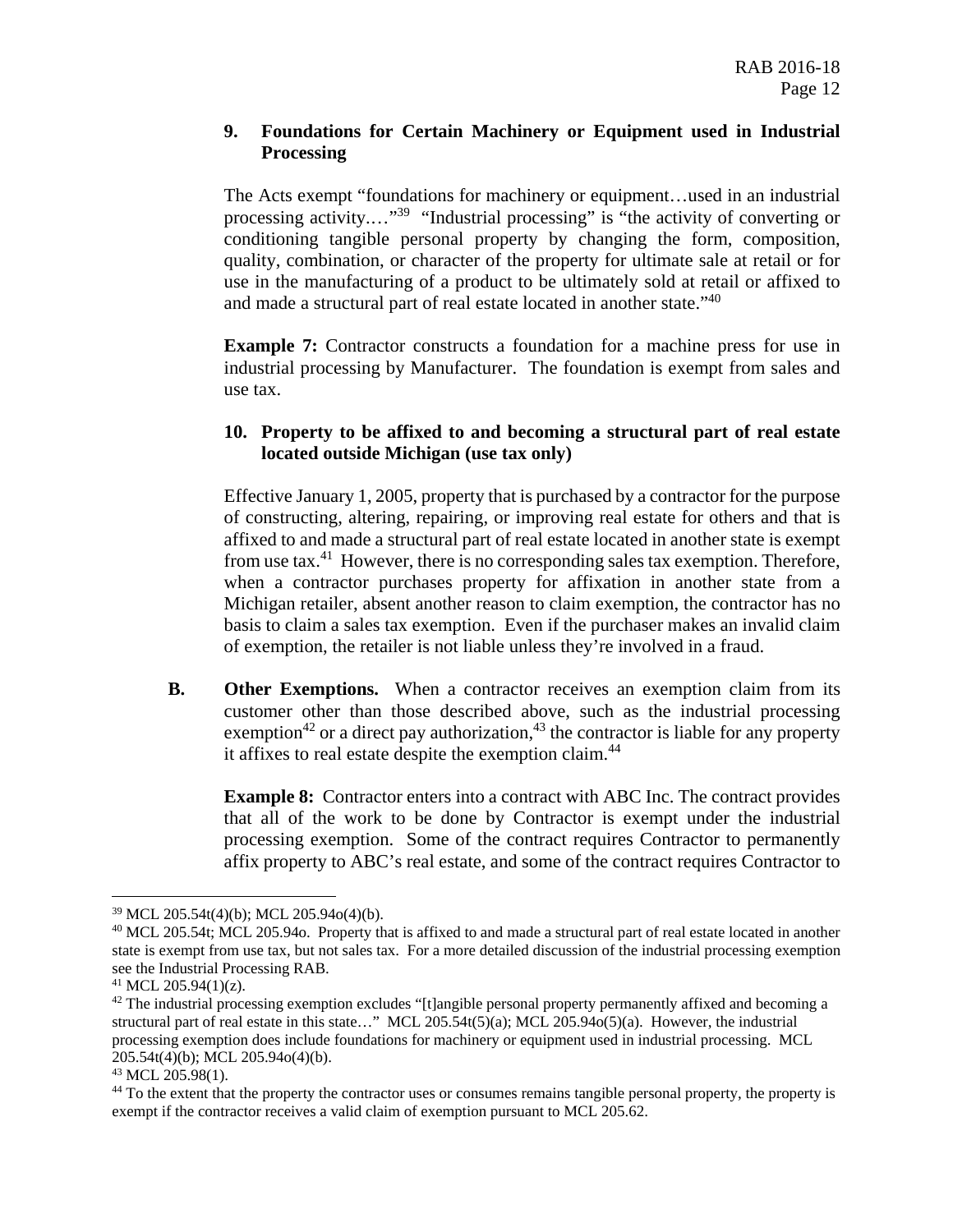# **9. Foundations for Certain Machinery or Equipment used in Industrial Processing**

The Acts exempt "foundations for machinery or equipment…used in an industrial processing activity.…"39 "Industrial processing" is "the activity of converting or conditioning tangible personal property by changing the form, composition, quality, combination, or character of the property for ultimate sale at retail or for use in the manufacturing of a product to be ultimately sold at retail or affixed to and made a structural part of real estate located in another state."40

**Example 7:** Contractor constructs a foundation for a machine press for use in industrial processing by Manufacturer. The foundation is exempt from sales and use tax.

## **10. Property to be affixed to and becoming a structural part of real estate located outside Michigan (use tax only)**

Effective January 1, 2005, property that is purchased by a contractor for the purpose of constructing, altering, repairing, or improving real estate for others and that is affixed to and made a structural part of real estate located in another state is exempt from use tax.<sup>41</sup> However, there is no corresponding sales tax exemption. Therefore, when a contractor purchases property for affixation in another state from a Michigan retailer, absent another reason to claim exemption, the contractor has no basis to claim a sales tax exemption. Even if the purchaser makes an invalid claim of exemption, the retailer is not liable unless they're involved in a fraud.

it affixes to real estate despite the exemption claim.<sup>44</sup> **B.** Other Exemptions. When a contractor receives an exemption claim from its customer other than those described above, such as the industrial processing exemption<sup>42</sup> or a direct pay authorization,<sup>43</sup> the contractor is liable for any property

**Example 8:** Contractor enters into a contract with ABC Inc. The contract provides that all of the work to be done by Contractor is exempt under the industrial processing exemption. Some of the contract requires Contractor to permanently affix property to ABC's real estate, and some of the contract requires Contractor to

<sup>39</sup> MCL 205.54t(4)(b); MCL 205.94o(4)(b).

 $40$  MCL 205.54t; MCL 205.94o. Property that is affixed to and made a structural part of real estate located in another state is exempt from use tax, but not sales tax. For a more detailed discussion of the industrial processing exemption see the Industrial Processing RAB.<br><sup>41</sup> MCL 205.94(1)(z).

 $42$  The industrial processing exemption excludes "[t]angible personal property permanently affixed and becoming a structural part of real estate in this state…" MCL 205.54t(5)(a); MCL 205.94o(5)(a). However, the industrial processing exemption does include foundations for machinery or equipment used in industrial processing. MCL 205.54t(4)(b); MCL 205.94o(4)(b).

<sup>43</sup> MCL 205.98(1).

<sup>&</sup>lt;sup>44</sup> To the extent that the property the contractor uses or consumes remains tangible personal property, the property is exempt if the contractor receives a valid claim of exemption pursuant to MCL 205.62.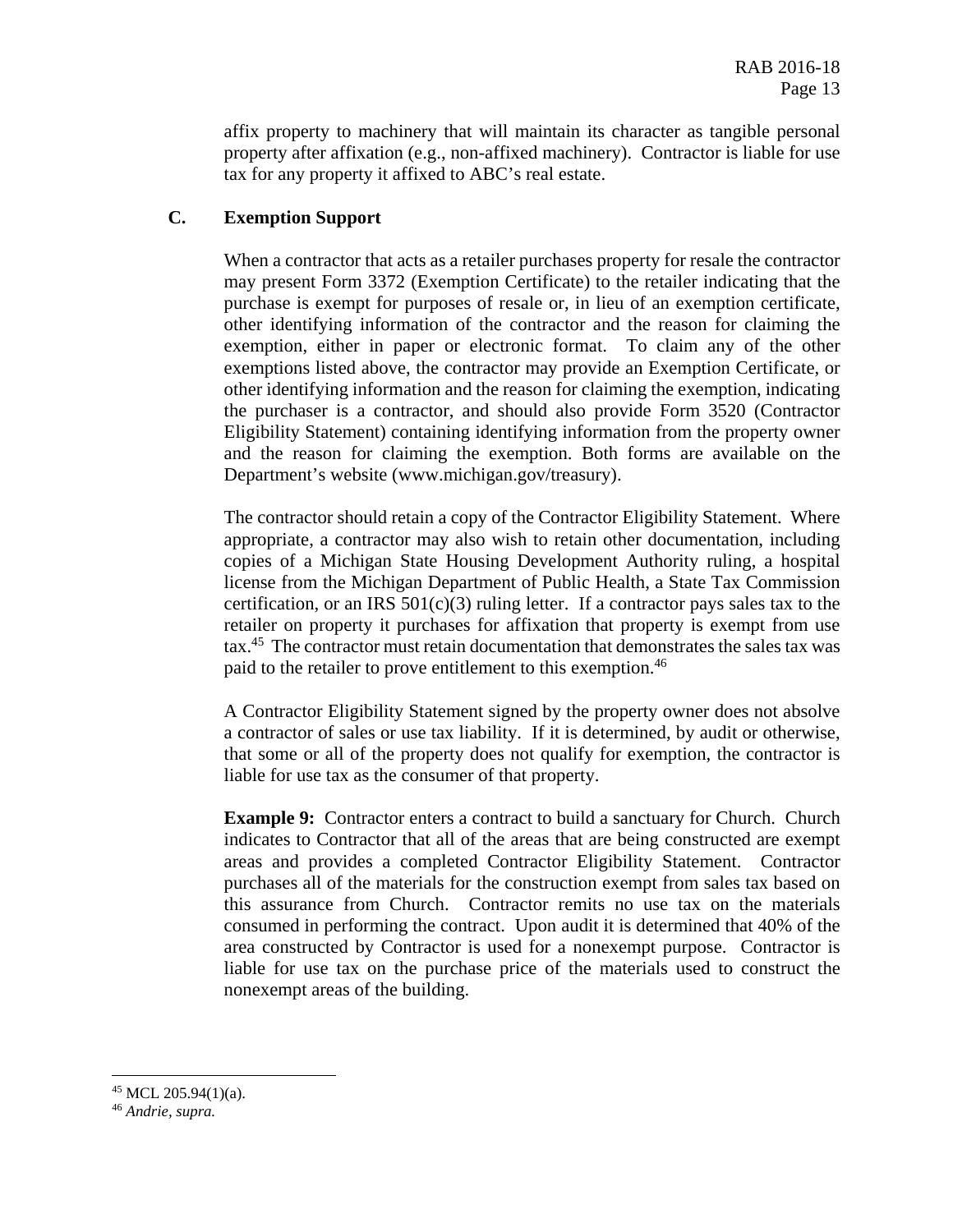affix property to machinery that will maintain its character as tangible personal property after affixation (e.g., non-affixed machinery). Contractor is liable for use tax for any property it affixed to ABC's real estate.

#### $\mathbf{C}$ . **C. Exemption Support**

When a contractor that acts as a retailer purchases property for resale the contractor may present Form 3372 (Exemption Certificate) to the retailer indicating that the purchase is exempt for purposes of resale or, in lieu of an exemption certificate, other identifying information of the contractor and the reason for claiming the exemption, either in paper or electronic format. To claim any of the other exemptions listed above, the contractor may provide an Exemption Certificate, or other identifying information and the reason for claiming the exemption, indicating the purchaser is a contractor, and should also provide Form 3520 (Contractor Eligibility Statement) containing identifying information from the property owner and the reason for claiming the exemption. Both forms are available on the Department's website (www.michigan.gov/treasury).

The contractor should retain a copy of the Contractor Eligibility Statement. Where appropriate, a contractor may also wish to retain other documentation, including copies of a Michigan State Housing Development Authority ruling, a hospital license from the Michigan Department of Public Health, a State Tax Commission certification, or an IRS  $501(c)(3)$  ruling letter. If a contractor pays sales tax to the retailer on property it purchases for affixation that property is exempt from use tax.45 The contractor must retain documentation that demonstrates the sales tax was paid to the retailer to prove entitlement to this exemption.46

A Contractor Eligibility Statement signed by the property owner does not absolve a contractor of sales or use tax liability. If it is determined, by audit or otherwise, that some or all of the property does not qualify for exemption, the contractor is liable for use tax as the consumer of that property.

**Example 9:** Contractor enters a contract to build a sanctuary for Church. Church indicates to Contractor that all of the areas that are being constructed are exempt areas and provides a completed Contractor Eligibility Statement. Contractor purchases all of the materials for the construction exempt from sales tax based on this assurance from Church. Contractor remits no use tax on the materials consumed in performing the contract. Upon audit it is determined that 40% of the area constructed by Contractor is used for a nonexempt purpose. Contractor is liable for use tax on the purchase price of the materials used to construct the nonexempt areas of the building.

<sup>45</sup> MCL 205.94(1)(a).

<sup>46</sup> *Andrie, supra.*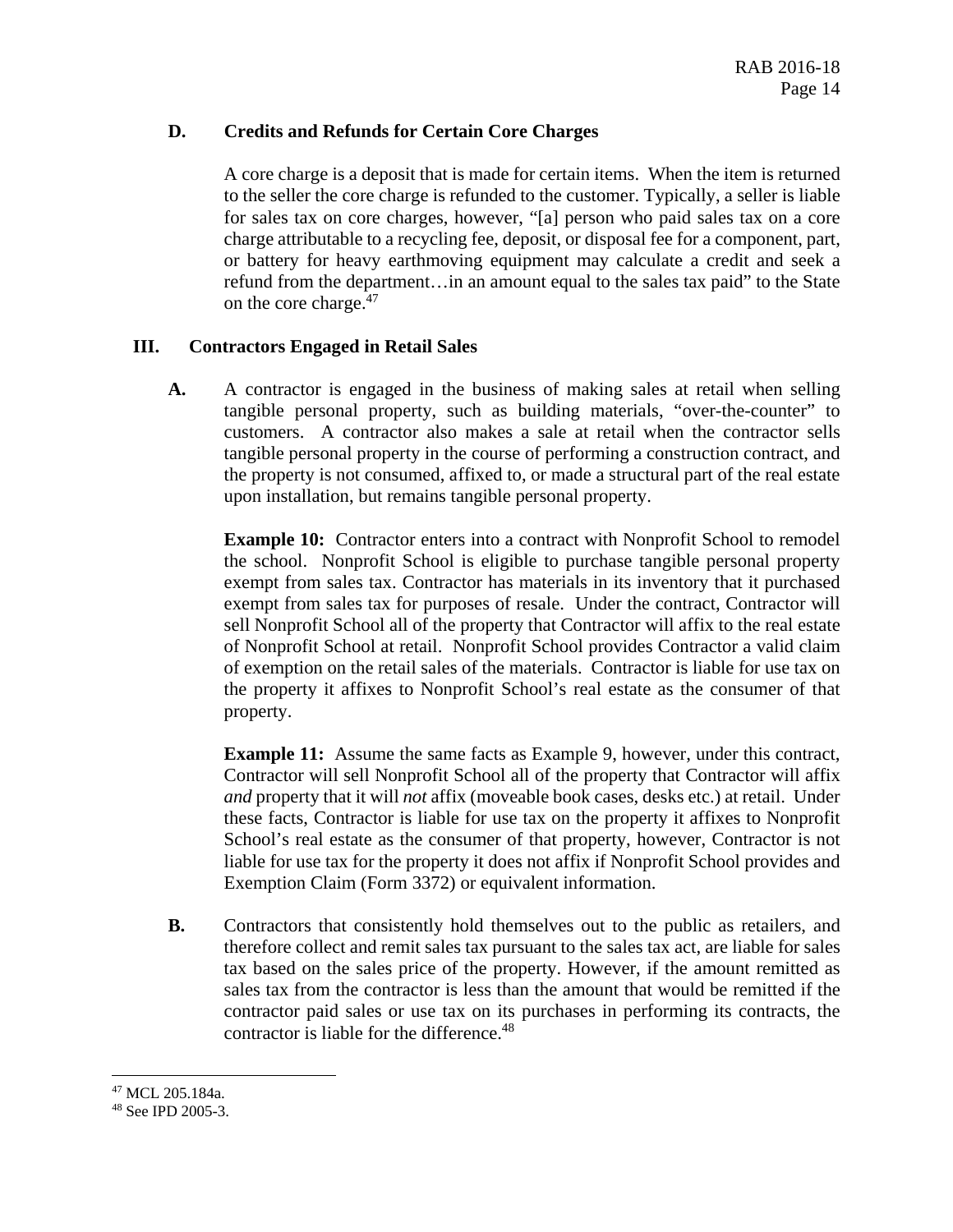## **D. Credits and Refunds for Certain Core Charges**

A core charge is a deposit that is made for certain items. When the item is returned to the seller the core charge is refunded to the customer. Typically, a seller is liable for sales tax on core charges, however, "[a] person who paid sales tax on a core charge attributable to a recycling fee, deposit, or disposal fee for a component, part, or battery for heavy earthmoving equipment may calculate a credit and seek a refund from the department…in an amount equal to the sales tax paid" to the State on the core charge.47

# **Contractors Engaged in Retail Sales**

**III. Contractors Engaged in Retail Sales**<br>**A.** A contractor is engaged in the business of making sales at retail when selling tangible personal property, such as building materials, "over-the-counter" to customers. A contractor also makes a sale at retail when the contractor sells tangible personal property in the course of performing a construction contract, and the property is not consumed, affixed to, or made a structural part of the real estate upon installation, but remains tangible personal property.

> exempt from sales tax for purposes of resale. Under the contract, Contractor will **Example 10:** Contractor enters into a contract with Nonprofit School to remodel the school. Nonprofit School is eligible to purchase tangible personal property exempt from sales tax. Contractor has materials in its inventory that it purchased sell Nonprofit School all of the property that Contractor will affix to the real estate of Nonprofit School at retail. Nonprofit School provides Contractor a valid claim of exemption on the retail sales of the materials. Contractor is liable for use tax on the property it affixes to Nonprofit School's real estate as the consumer of that property.

> **Example 11:** Assume the same facts as Example 9, however, under this contract, Contractor will sell Nonprofit School all of the property that Contractor will affix *and* property that it will *not* affix (moveable book cases, desks etc.) at retail. Under these facts, Contractor is liable for use tax on the property it affixes to Nonprofit School's real estate as the consumer of that property, however, Contractor is not liable for use tax for the property it does not affix if Nonprofit School provides and Exemption Claim (Form 3372) or equivalent information.

**B.** Contractors that consistently hold themselves out to the public as retailers, and therefore collect and remit sales tax pursuant to the sales tax act, are liable for sales tax based on the sales price of the property. However, if the amount remitted as sales tax from the contractor is less than the amount that would be remitted if the contractor paid sales or use tax on its purchases in performing its contracts, the contractor is liable for the difference.<sup>48</sup>

<sup>47</sup> MCL 205.184a.

<sup>48</sup> See IPD 2005-3.